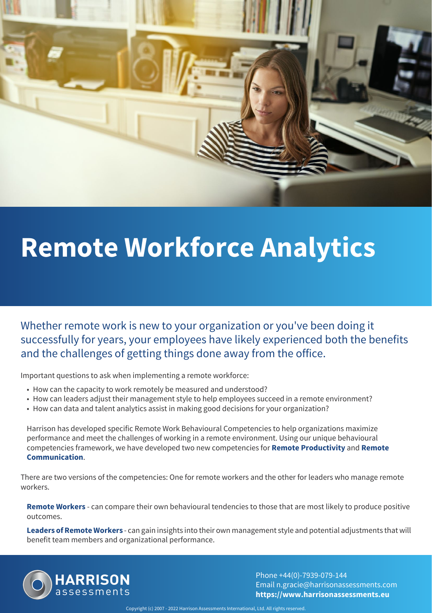

# **Remote Workforce Analytics**

Whether remote work is new to your organization or you've been doing it successfully for years, your employees have likely experienced both the benefits and the challenges of getting things done away from the office.

Important questions to ask when implementing a remote workforce:

- How can the capacity to work remotely be measured and understood?
- How can leaders adjust their management style to help employees succeed in a remote environment?
- How can data and talent analytics assist in making good decisions for your organization?

Harrison has developed specific Remote Work Behavioural Competencies to help organizations maximize performance and meet the challenges of working in a remote environment. Using our unique behavioural competencies framework, we have developed two new competencies for **Remote Productivity** and **Remote Communication**.

There are two versions of the competencies: One for remote workers and the other for leaders who manage remote workers.

**Remote Workers** - can compare their own behavioural tendencies to those that are most likely to produce positive outcomes.

**Leaders of Remote Workers** - can gain insights into their own management style and potential adjustments that will benefit team members and organizational performance.



Phone +44(0)-7939-079-144 Email n.gracie@harrisonassessments.com **https://www.harrisonassessments.eu**